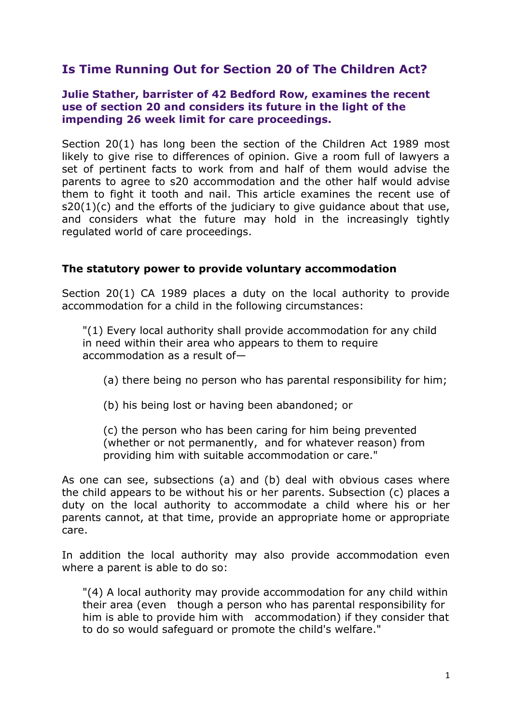# **Is Time Running Out for Section 20 of The Children Act?**

#### **Julie Stather, barrister of 42 Bedford Row, examines the recent use of section 20 and considers its future in the light of the impending 26 week limit for care proceedings.**

Section 20(1) has long been the section of the Children Act 1989 most likely to give rise to differences of opinion. Give a room full of lawyers a set of pertinent facts to work from and half of them would advise the parents to agree to s20 accommodation and the other half would advise them to fight it tooth and nail. This article examines the recent use of s20(1)(c) and the efforts of the judiciary to give guidance about that use, and considers what the future may hold in the increasingly tightly regulated world of care proceedings.

#### **The statutory power to provide voluntary accommodation**

Section 20(1) CA 1989 places a duty on the local authority to provide accommodation for a child in the following circumstances:

"(1) Every local authority shall provide accommodation for any child in need within their area who appears to them to require accommodation as a result of—

- (a) there being no person who has parental responsibility for him;
- (b) his being lost or having been abandoned; or

(c) the person who has been caring for him being prevented (whether or not permanently, and for whatever reason) from providing him with suitable accommodation or care."

As one can see, subsections (a) and (b) deal with obvious cases where the child appears to be without his or her parents. Subsection (c) places a duty on the local authority to accommodate a child where his or her parents cannot, at that time, provide an appropriate home or appropriate care.

In addition the local authority may also provide accommodation even where a parent is able to do so:

"(4) A local authority may provide accommodation for any child within their area (even though a person who has parental responsibility for him is able to provide him with accommodation) if they consider that to do so would safeguard or promote the child's welfare."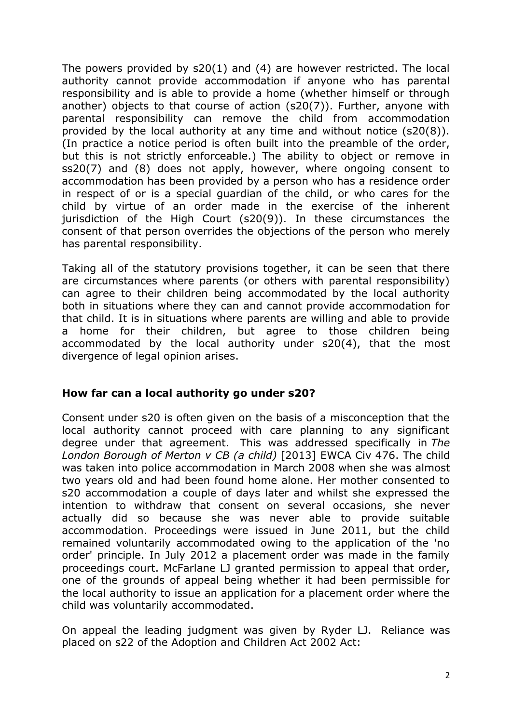The powers provided by s20(1) and (4) are however restricted. The local authority cannot provide accommodation if anyone who has parental responsibility and is able to provide a home (whether himself or through another) objects to that course of action (s20(7)). Further, anyone with parental responsibility can remove the child from accommodation provided by the local authority at any time and without notice (s20(8)). (In practice a notice period is often built into the preamble of the order, but this is not strictly enforceable.) The ability to object or remove in ss20(7) and (8) does not apply, however, where ongoing consent to accommodation has been provided by a person who has a residence order in respect of or is a special guardian of the child, or who cares for the child by virtue of an order made in the exercise of the inherent jurisdiction of the High Court (s20(9)). In these circumstances the consent of that person overrides the objections of the person who merely has parental responsibility.

Taking all of the statutory provisions together, it can be seen that there are circumstances where parents (or others with parental responsibility) can agree to their children being accommodated by the local authority both in situations where they can and cannot provide accommodation for that child. It is in situations where parents are willing and able to provide a home for their children, but agree to those children being accommodated by the local authority under s20(4), that the most divergence of legal opinion arises.

### **How far can a local authority go under s20?**

Consent under s20 is often given on the basis of a misconception that the local authority cannot proceed with care planning to any significant degree under that agreement. This was addressed specifically in *The London Borough of Merton v CB (a child)* [2013] EWCA Civ 476. The child was taken into police accommodation in March 2008 when she was almost two years old and had been found home alone. Her mother consented to s20 accommodation a couple of days later and whilst she expressed the intention to withdraw that consent on several occasions, she never actually did so because she was never able to provide suitable accommodation. Proceedings were issued in June 2011, but the child remained voluntarily accommodated owing to the application of the 'no order' principle. In July 2012 a placement order was made in the family proceedings court. McFarlane LJ granted permission to appeal that order, one of the grounds of appeal being whether it had been permissible for the local authority to issue an application for a placement order where the child was voluntarily accommodated.

On appeal the leading judgment was given by Ryder LJ. Reliance was placed on s22 of the Adoption and Children Act 2002 Act: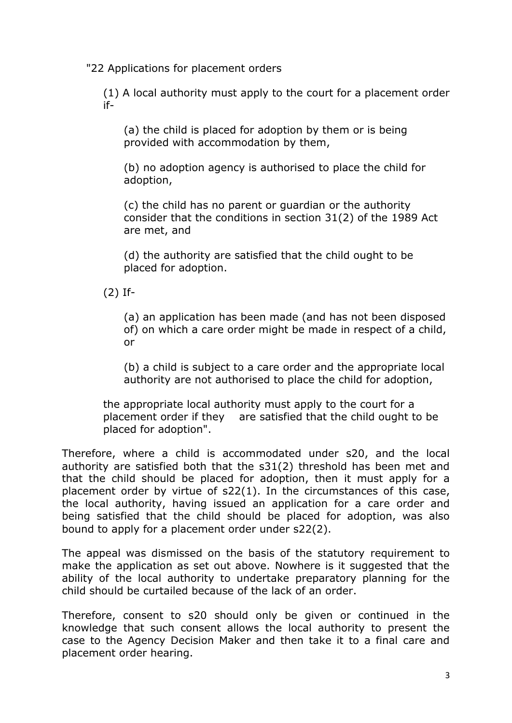"22 Applications for placement orders

(1) A local authority must apply to the court for a placement order if-

(a) the child is placed for adoption by them or is being provided with accommodation by them,

(b) no adoption agency is authorised to place the child for adoption,

(c) the child has no parent or guardian or the authority consider that the conditions in section 31(2) of the 1989 Act are met, and

(d) the authority are satisfied that the child ought to be placed for adoption.

(2) If-

(a) an application has been made (and has not been disposed of) on which a care order might be made in respect of a child, or

(b) a child is subject to a care order and the appropriate local authority are not authorised to place the child for adoption,

the appropriate local authority must apply to the court for a placement order if they are satisfied that the child ought to be placed for adoption".

Therefore, where a child is accommodated under s20, and the local authority are satisfied both that the s31(2) threshold has been met and that the child should be placed for adoption, then it must apply for a placement order by virtue of s22(1). In the circumstances of this case, the local authority, having issued an application for a care order and being satisfied that the child should be placed for adoption, was also bound to apply for a placement order under s22(2).

The appeal was dismissed on the basis of the statutory requirement to make the application as set out above. Nowhere is it suggested that the ability of the local authority to undertake preparatory planning for the child should be curtailed because of the lack of an order.

Therefore, consent to s20 should only be given or continued in the knowledge that such consent allows the local authority to present the case to the Agency Decision Maker and then take it to a final care and placement order hearing.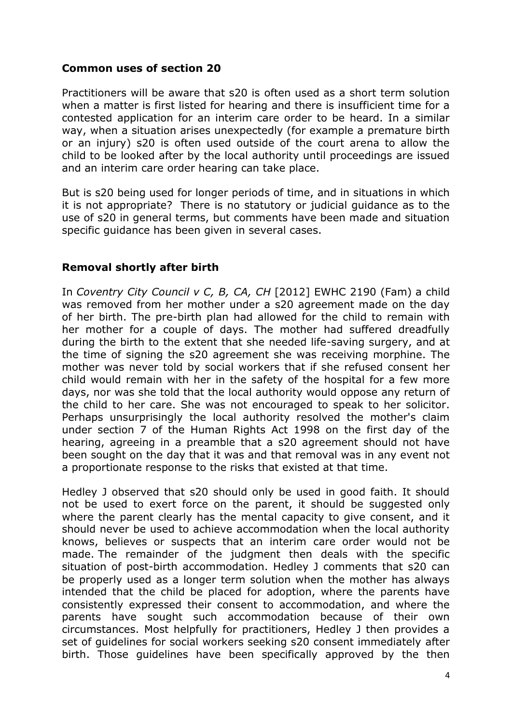# **Common uses of section 20**

Practitioners will be aware that s20 is often used as a short term solution when a matter is first listed for hearing and there is insufficient time for a contested application for an interim care order to be heard. In a similar way, when a situation arises unexpectedly (for example a premature birth or an injury) s20 is often used outside of the court arena to allow the child to be looked after by the local authority until proceedings are issued and an interim care order hearing can take place.

But is s20 being used for longer periods of time, and in situations in which it is not appropriate? There is no statutory or judicial guidance as to the use of s20 in general terms, but comments have been made and situation specific guidance has been given in several cases.

# **Removal shortly after birth**

In *Coventry City Council v C, B, CA, CH* [2012] EWHC 2190 (Fam) a child was removed from her mother under a s20 agreement made on the day of her birth. The pre-birth plan had allowed for the child to remain with her mother for a couple of days. The mother had suffered dreadfully during the birth to the extent that she needed life-saving surgery, and at the time of signing the s20 agreement she was receiving morphine. The mother was never told by social workers that if she refused consent her child would remain with her in the safety of the hospital for a few more days, nor was she told that the local authority would oppose any return of the child to her care. She was not encouraged to speak to her solicitor. Perhaps unsurprisingly the local authority resolved the mother's claim under section 7 of the Human Rights Act 1998 on the first day of the hearing, agreeing in a preamble that a s20 agreement should not have been sought on the day that it was and that removal was in any event not a proportionate response to the risks that existed at that time.

Hedley J observed that s20 should only be used in good faith. It should not be used to exert force on the parent, it should be suggested only where the parent clearly has the mental capacity to give consent, and it should never be used to achieve accommodation when the local authority knows, believes or suspects that an interim care order would not be made. The remainder of the judgment then deals with the specific situation of post-birth accommodation. Hedley J comments that s20 can be properly used as a longer term solution when the mother has always intended that the child be placed for adoption, where the parents have consistently expressed their consent to accommodation, and where the parents have sought such accommodation because of their own circumstances. Most helpfully for practitioners, Hedley J then provides a set of guidelines for social workers seeking s20 consent immediately after birth. Those guidelines have been specifically approved by the then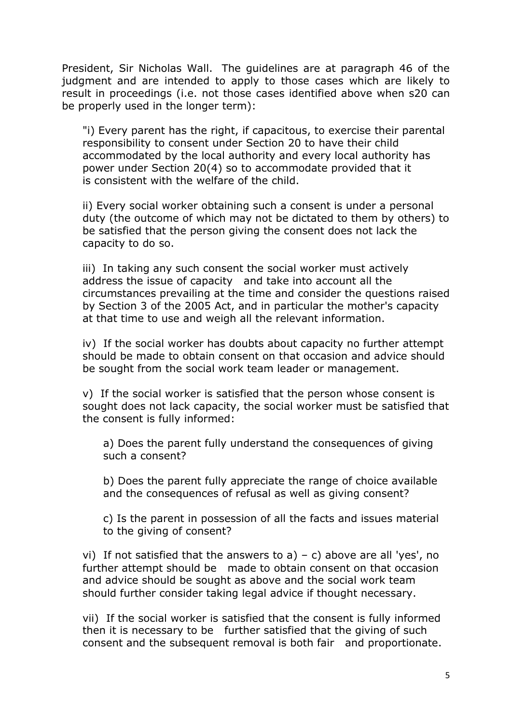President, Sir Nicholas Wall. The guidelines are at paragraph 46 of the judgment and are intended to apply to those cases which are likely to result in proceedings (i.e. not those cases identified above when s20 can be properly used in the longer term):

"i) Every parent has the right, if capacitous, to exercise their parental responsibility to consent under Section 20 to have their child accommodated by the local authority and every local authority has power under Section 20(4) so to accommodate provided that it is consistent with the welfare of the child.

ii) Every social worker obtaining such a consent is under a personal duty (the outcome of which may not be dictated to them by others) to be satisfied that the person giving the consent does not lack the capacity to do so.

iii) In taking any such consent the social worker must actively address the issue of capacity and take into account all the circumstances prevailing at the time and consider the questions raised by Section 3 of the 2005 Act, and in particular the mother's capacity at that time to use and weigh all the relevant information.

iv) If the social worker has doubts about capacity no further attempt should be made to obtain consent on that occasion and advice should be sought from the social work team leader or management.

v) If the social worker is satisfied that the person whose consent is sought does not lack capacity, the social worker must be satisfied that the consent is fully informed:

a) Does the parent fully understand the consequences of giving such a consent?

b) Does the parent fully appreciate the range of choice available and the consequences of refusal as well as giving consent?

c) Is the parent in possession of all the facts and issues material to the giving of consent?

vi) If not satisfied that the answers to  $a$ ) – c) above are all 'yes', no further attempt should be made to obtain consent on that occasion and advice should be sought as above and the social work team should further consider taking legal advice if thought necessary.

vii) If the social worker is satisfied that the consent is fully informed then it is necessary to be further satisfied that the giving of such consent and the subsequent removal is both fair and proportionate.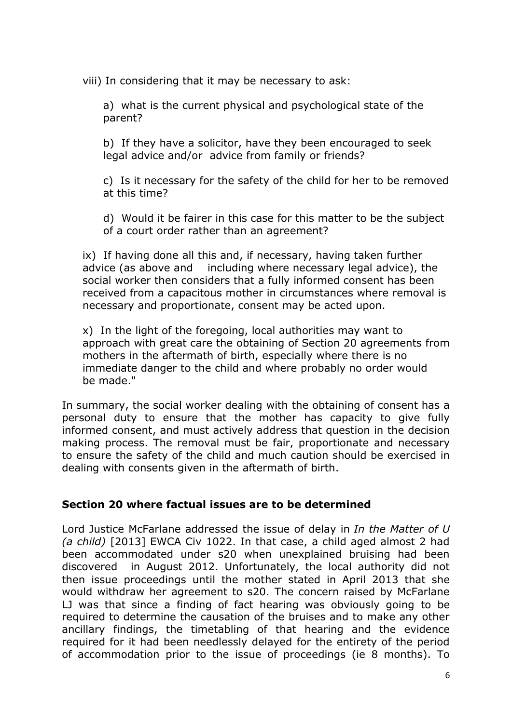viii) In considering that it may be necessary to ask:

a) what is the current physical and psychological state of the parent?

b) If they have a solicitor, have they been encouraged to seek legal advice and/or advice from family or friends?

c) Is it necessary for the safety of the child for her to be removed at this time?

d) Would it be fairer in this case for this matter to be the subject of a court order rather than an agreement?

ix) If having done all this and, if necessary, having taken further advice (as above and including where necessary legal advice), the social worker then considers that a fully informed consent has been received from a capacitous mother in circumstances where removal is necessary and proportionate, consent may be acted upon.

x) In the light of the foregoing, local authorities may want to approach with great care the obtaining of Section 20 agreements from mothers in the aftermath of birth, especially where there is no immediate danger to the child and where probably no order would be made."

In summary, the social worker dealing with the obtaining of consent has a personal duty to ensure that the mother has capacity to give fully informed consent, and must actively address that question in the decision making process. The removal must be fair, proportionate and necessary to ensure the safety of the child and much caution should be exercised in dealing with consents given in the aftermath of birth.

### **Section 20 where factual issues are to be determined**

Lord Justice McFarlane addressed the issue of delay in *In the Matter of U (a child)* [2013] EWCA Civ 1022. In that case, a child aged almost 2 had been accommodated under s20 when unexplained bruising had been discovered in August 2012. Unfortunately, the local authority did not then issue proceedings until the mother stated in April 2013 that she would withdraw her agreement to s20. The concern raised by McFarlane LJ was that since a finding of fact hearing was obviously going to be required to determine the causation of the bruises and to make any other ancillary findings, the timetabling of that hearing and the evidence required for it had been needlessly delayed for the entirety of the period of accommodation prior to the issue of proceedings (ie 8 months). To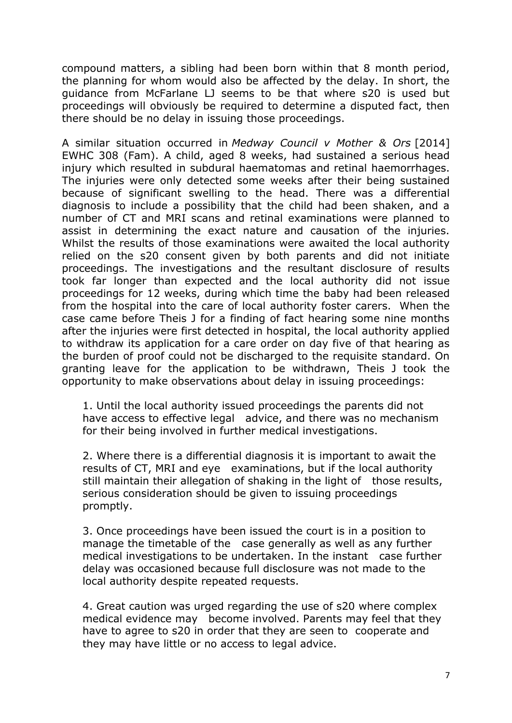compound matters, a sibling had been born within that 8 month period, the planning for whom would also be affected by the delay. In short, the guidance from McFarlane LJ seems to be that where s20 is used but proceedings will obviously be required to determine a disputed fact, then there should be no delay in issuing those proceedings.

A similar situation occurred in *Medway Council v Mother & Ors* [2014] EWHC 308 (Fam). A child, aged 8 weeks, had sustained a serious head injury which resulted in subdural haematomas and retinal haemorrhages. The injuries were only detected some weeks after their being sustained because of significant swelling to the head. There was a differential diagnosis to include a possibility that the child had been shaken, and a number of CT and MRI scans and retinal examinations were planned to assist in determining the exact nature and causation of the injuries. Whilst the results of those examinations were awaited the local authority relied on the s20 consent given by both parents and did not initiate proceedings. The investigations and the resultant disclosure of results took far longer than expected and the local authority did not issue proceedings for 12 weeks, during which time the baby had been released from the hospital into the care of local authority foster carers. When the case came before Theis J for a finding of fact hearing some nine months after the injuries were first detected in hospital, the local authority applied to withdraw its application for a care order on day five of that hearing as the burden of proof could not be discharged to the requisite standard. On granting leave for the application to be withdrawn, Theis J took the opportunity to make observations about delay in issuing proceedings:

1. Until the local authority issued proceedings the parents did not have access to effective legal advice, and there was no mechanism for their being involved in further medical investigations.

2. Where there is a differential diagnosis it is important to await the results of CT, MRI and eye examinations, but if the local authority still maintain their allegation of shaking in the light of those results, serious consideration should be given to issuing proceedings promptly.

3. Once proceedings have been issued the court is in a position to manage the timetable of the case generally as well as any further medical investigations to be undertaken. In the instant case further delay was occasioned because full disclosure was not made to the local authority despite repeated requests.

4. Great caution was urged regarding the use of s20 where complex medical evidence may become involved. Parents may feel that they have to agree to s20 in order that they are seen to cooperate and they may have little or no access to legal advice.